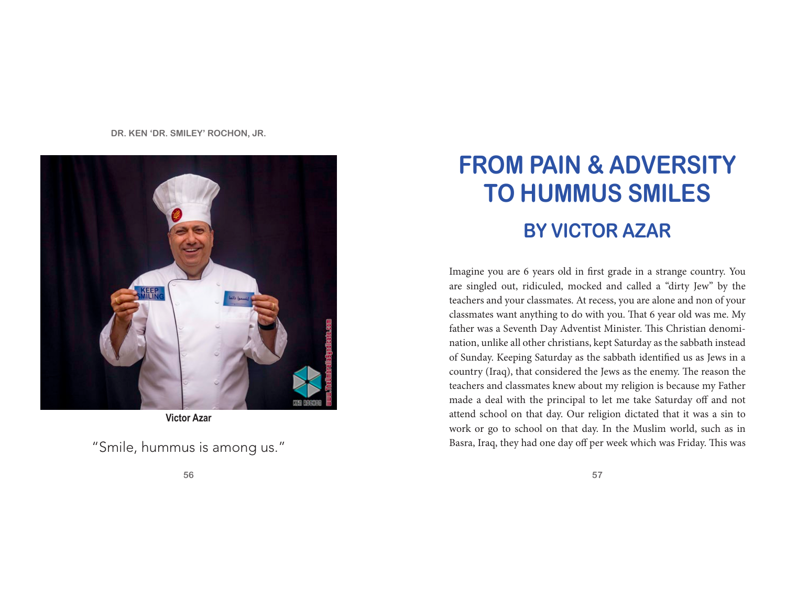**DR. KEN 'DR. SMILEY' ROCHON, JR.**



**Victor Azar**

"Smile, hummus is among us."

# **FROM PAIN & ADVERSITY TO HUMMUS SMILES BY VICTOR AZAR**

Imagine you are 6 years old in first grade in a strange country. You are singled out, ridiculed, mocked and called a "dirty Jew" by the teachers and your classmates. At recess, you are alone and non of your classmates want anything to do with you. That 6 year old was me. My father was a Seventh Day Adventist Minister. This Christian denomination, unlike all other christians, kept Saturday as the sabbath instead of Sunday. Keeping Saturday as the sabbath identified us as Jews in a country (Iraq), that considered the Jews as the enemy. The reason the teachers and classmates knew about my religion is because my Father made a deal with the principal to let me take Saturday off and not attend school on that day. Our religion dictated that it was a sin to work or go to school on that day. In the Muslim world, such as in Basra, Iraq, they had one day off per week which was Friday. This was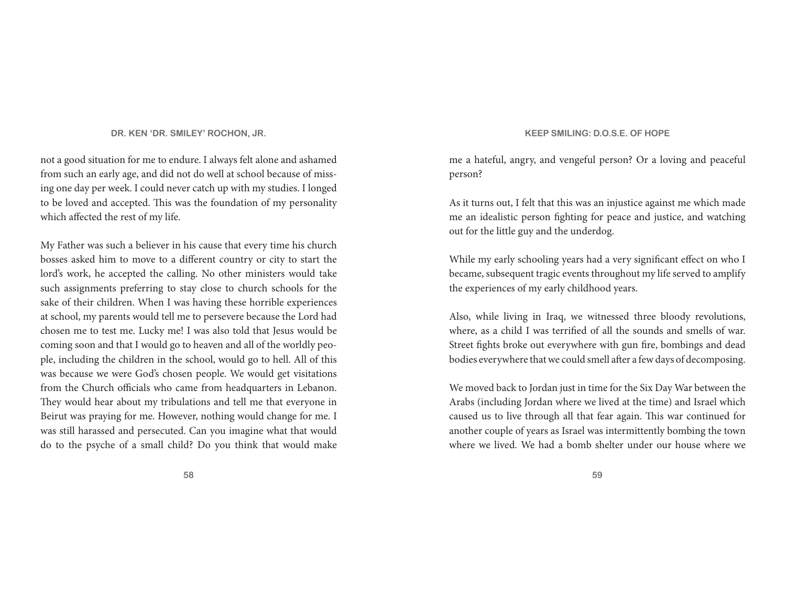not a good situation for me to endure. I always felt alone and ashamed from such an early age, and did not do well at school because of missing one day per week. I could never catch up with my studies. I longed to be loved and accepted. This was the foundation of my personality which affected the rest of my life.

My Father was such a believer in his cause that every time his church bosses asked him to move to a different country or city to start the lord's work, he accepted the calling. No other ministers would take such assignments preferring to stay close to church schools for the sake of their children. When I was having these horrible experiences at school, my parents would tell me to persevere because the Lord had chosen me to test me. Lucky me! I was also told that Jesus would be coming soon and that I would go to heaven and all of the worldly people, including the children in the school, would go to hell. All of this was because we were God's chosen people. We would get visitations from the Church officials who came from headquarters in Lebanon. They would hear about my tribulations and tell me that everyone in Beirut was praying for me. However, nothing would change for me. I was still harassed and persecuted. Can you imagine what that would do to the psyche of a small child? Do you think that would make

me a hateful, angry, and vengeful person? Or a loving and peaceful person?

As it turns out, I felt that this was an injustice against me which made me an idealistic person fighting for peace and justice, and watching out for the little guy and the underdog.

While my early schooling years had a very significant effect on who I became, subsequent tragic events throughout my life served to amplify the experiences of my early childhood years.

Also, while living in Iraq, we witnessed three bloody revolutions, where, as a child I was terrified of all the sounds and smells of war. Street fights broke out everywhere with gun fire, bombings and dead bodies everywhere that we could smell after a few days of decomposing.

We moved back to Jordan just in time for the Six Day War between the Arabs (including Jordan where we lived at the time) and Israel which caused us to live through all that fear again. This war continued for another couple of years as Israel was intermittently bombing the town where we lived. We had a bomb shelter under our house where we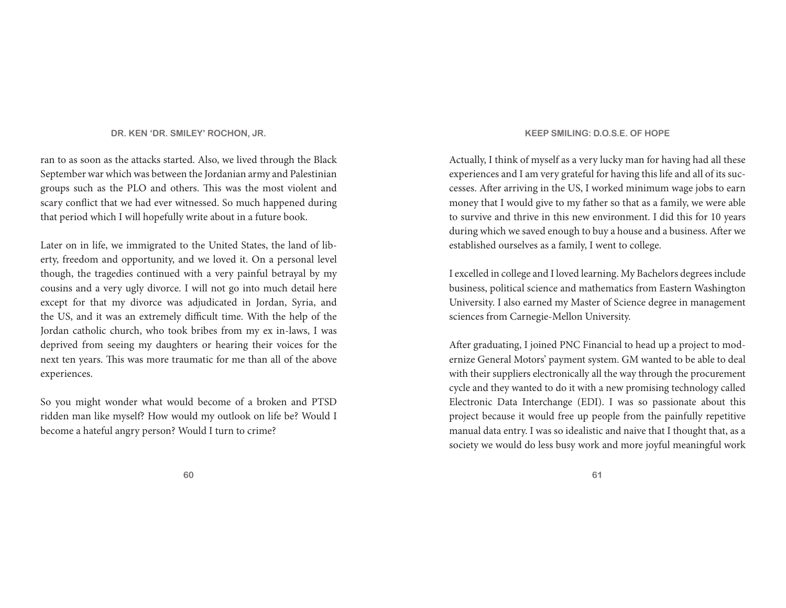ran to as soon as the attacks started. Also, we lived through the Black September war which was between the Jordanian army and Palestinian groups such as the PLO and others. This was the most violent and scary conflict that we had ever witnessed. So much happened during that period which I will hopefully write about in a future book.

Later on in life, we immigrated to the United States, the land of liberty, freedom and opportunity, and we loved it. On a personal level though, the tragedies continued with a very painful betrayal by my cousins and a very ugly divorce. I will not go into much detail here except for that my divorce was adjudicated in Jordan, Syria, and the US, and it was an extremely difficult time. With the help of the Jordan catholic church, who took bribes from my ex in-laws, I was deprived from seeing my daughters or hearing their voices for the next ten years. This was more traumatic for me than all of the above experiences.

So you might wonder what would become of a broken and PTSD ridden man like myself? How would my outlook on life be? Would I become a hateful angry person? Would I turn to crime?

Actually, I think of myself as a very lucky man for having had all these experiences and I am very grateful for having this life and all of its successes. After arriving in the US, I worked minimum wage jobs to earn money that I would give to my father so that as a family, we were able to survive and thrive in this new environment. I did this for 10 years during which we saved enough to buy a house and a business. After we established ourselves as a family, I went to college.

I excelled in college and I loved learning. My Bachelors degrees include business, political science and mathematics from Eastern Washington University. I also earned my Master of Science degree in management sciences from Carnegie-Mellon University.

After graduating, I joined PNC Financial to head up a project to modernize General Motors' payment system. GM wanted to be able to deal with their suppliers electronically all the way through the procurement cycle and they wanted to do it with a new promising technology called Electronic Data Interchange (EDI). I was so passionate about this project because it would free up people from the painfully repetitive manual data entry. I was so idealistic and naive that I thought that, as a society we would do less busy work and more joyful meaningful work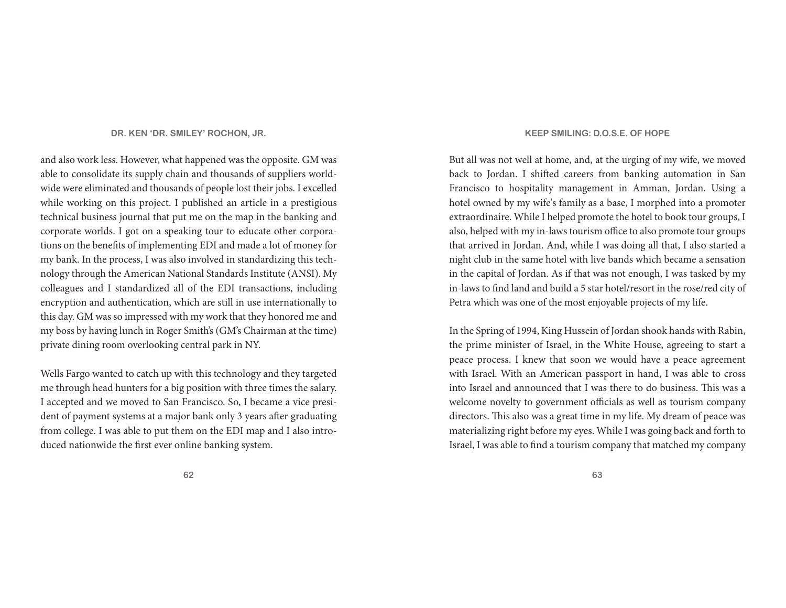and also work less. However, what happened was the opposite. GM was able to consolidate its supply chain and thousands of suppliers worldwide were eliminated and thousands of people lost their jobs. I excelled while working on this project. I published an article in a prestigious technical business journal that put me on the map in the banking and corporate worlds. I got on a speaking tour to educate other corporations on the benefits of implementing EDI and made a lot of money for my bank. In the process, I was also involved in standardizing this technology through the American National Standards Institute (ANSI). My colleagues and I standardized all of the EDI transactions, including encryption and authentication, which are still in use internationally to this day. GM was so impressed with my work that they honored me and my boss by having lunch in Roger Smith's (GM's Chairman at the time) private dining room overlooking central park in NY.

Wells Fargo wanted to catch up with this technology and they targeted me through head hunters for a big position with three times the salary. I accepted and we moved to San Francisco. So, I became a vice president of payment systems at a major bank only 3 years after graduating from college. I was able to put them on the EDI map and I also introduced nationwide the first ever online banking system.

But all was not well at home, and, at the urging of my wife, we moved back to Jordan. I shifted careers from banking automation in San Francisco to hospitality management in Amman, Jordan. Using a hotel owned by my wife's family as a base, I morphed into a promoter extraordinaire. While I helped promote the hotel to book tour groups, I also, helped with my in-laws tourism office to also promote tour groups that arrived in Jordan. And, while I was doing all that, I also started a night club in the same hotel with live bands which became a sensation in the capital of Jordan. As if that was not enough, I was tasked by my in-laws to find land and build a 5 star hotel/resort in the rose/red city of Petra which was one of the most enjoyable projects of my life.

In the Spring of 1994, King Hussein of Jordan shook hands with Rabin, the prime minister of Israel, in the White House, agreeing to start a peace process. I knew that soon we would have a peace agreement with Israel. With an American passport in hand, I was able to cross into Israel and announced that I was there to do business. This was a welcome novelty to government officials as well as tourism company directors. This also was a great time in my life. My dream of peace was materializing right before my eyes. While I was going back and forth to Israel, I was able to find a tourism company that matched my company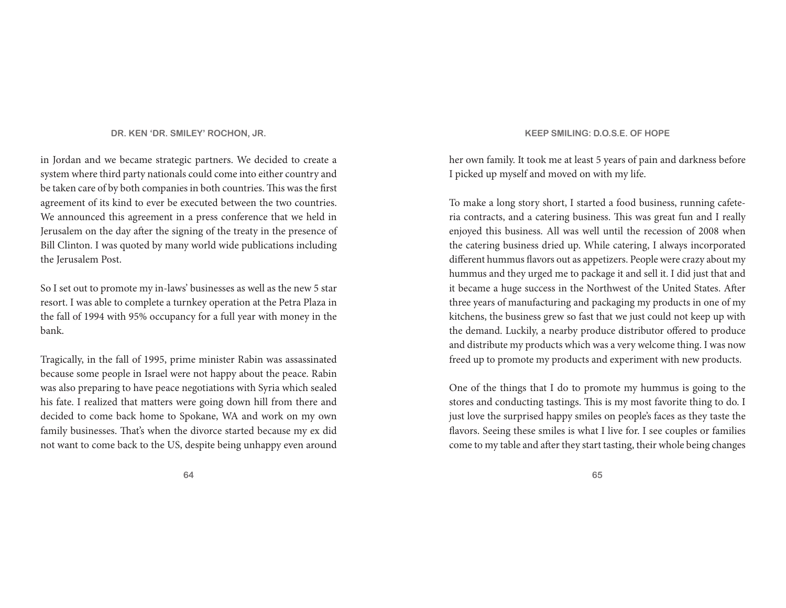in Jordan and we became strategic partners. We decided to create a system where third party nationals could come into either country and be taken care of by both companies in both countries. This was the first agreement of its kind to ever be executed between the two countries. We announced this agreement in a press conference that we held in Jerusalem on the day after the signing of the treaty in the presence of Bill Clinton. I was quoted by many world wide publications including the Jerusalem Post.

So I set out to promote my in-laws' businesses as well as the new 5 star resort. I was able to complete a turnkey operation at the Petra Plaza in the fall of 1994 with 95% occupancy for a full year with money in the bank.

Tragically, in the fall of 1995, prime minister Rabin was assassinated because some people in Israel were not happy about the peace. Rabin was also preparing to have peace negotiations with Syria which sealed his fate. I realized that matters were going down hill from there and decided to come back home to Spokane, WA and work on my own family businesses. That's when the divorce started because my ex did not want to come back to the US, despite being unhappy even around

her own family. It took me at least 5 years of pain and darkness before I picked up myself and moved on with my life.

To make a long story short, I started a food business, running cafeteria contracts, and a catering business. This was great fun and I really enjoyed this business. All was well until the recession of 2008 when the catering business dried up. While catering, I always incorporated different hummus flavors out as appetizers. People were crazy about my hummus and they urged me to package it and sell it. I did just that and it became a huge success in the Northwest of the United States. After three years of manufacturing and packaging my products in one of my kitchens, the business grew so fast that we just could not keep up with the demand. Luckily, a nearby produce distributor offered to produce and distribute my products which was a very welcome thing. I was now freed up to promote my products and experiment with new products.

One of the things that I do to promote my hummus is going to the stores and conducting tastings. This is my most favorite thing to do. I just love the surprised happy smiles on people's faces as they taste the flavors. Seeing these smiles is what I live for. I see couples or families come to my table and after they start tasting, their whole being changes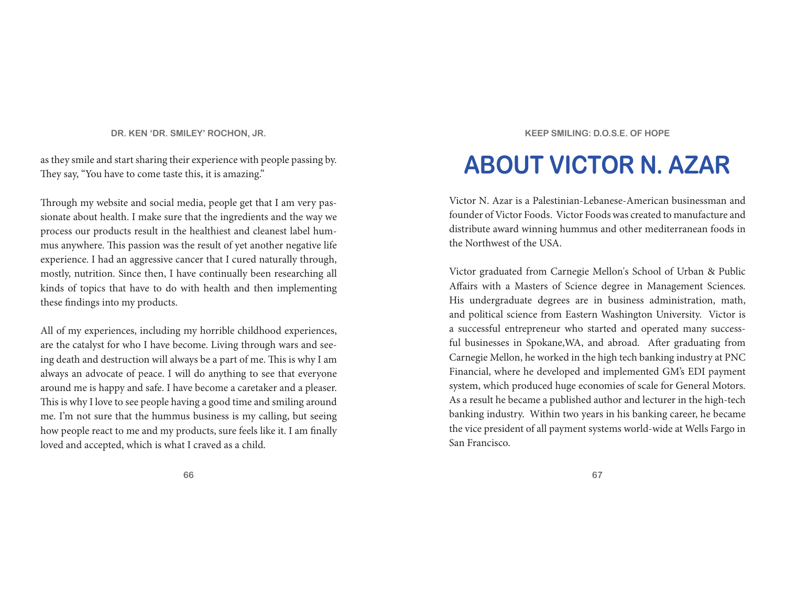as they smile and start sharing their experience with people passing by. They say, "You have to come taste this, it is amazing."

Through my website and social media, people get that I am very passionate about health. I make sure that the ingredients and the way we process our products result in the healthiest and cleanest label hummus anywhere. This passion was the result of yet another negative life experience. I had an aggressive cancer that I cured naturally through, mostly, nutrition. Since then, I have continually been researching all kinds of topics that have to do with health and then implementing these findings into my products.

All of my experiences, including my horrible childhood experiences, are the catalyst for who I have become. Living through wars and seeing death and destruction will always be a part of me. This is why I am always an advocate of peace. I will do anything to see that everyone around me is happy and safe. I have become a caretaker and a pleaser. This is why I love to see people having a good time and smiling around me. I'm not sure that the hummus business is my calling, but seeing how people react to me and my products, sure feels like it. I am finally loved and accepted, which is what I craved as a child.

## **ABOUT VICTOR N. AZAR**

Victor N. Azar is a Palestinian-Lebanese-American businessman and founder of Victor Foods. Victor Foods was created to manufacture and distribute award winning hummus and other mediterranean foods in the Northwest of the USA.

Victor graduated from Carnegie Mellon's School of Urban & Public Affairs with a Masters of Science degree in Management Sciences. His undergraduate degrees are in business administration, math, and political science from Eastern Washington University. Victor is a successful entrepreneur who started and operated many successful businesses in Spokane, WA, and abroad. After graduating from Carnegie Mellon, he worked in the high tech banking industry at PNC Financial, where he developed and implemented GM's EDI payment system, which produced huge economies of scale for General Motors. As a result he became a published author and lecturer in the high-tech banking industry. Within two years in his banking career, he became the vice president of all payment systems world-wide at Wells Fargo in San Francisco.